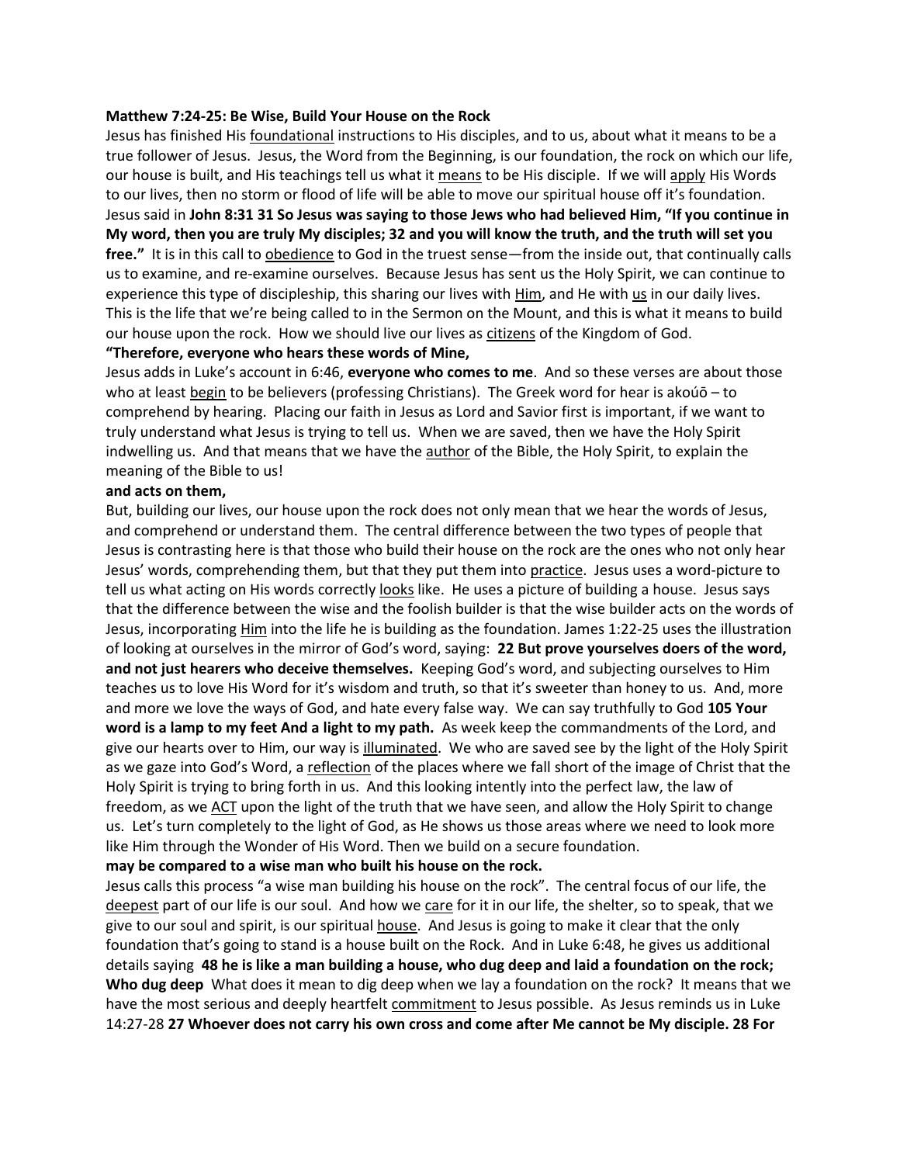#### **Matthew 7:24-25: Be Wise, Build Your House on the Rock**

Jesus has finished His foundational instructions to His disciples, and to us, about what it means to be a true follower of Jesus. Jesus, the Word from the Beginning, is our foundation, the rock on which our life, our house is built, and His teachings tell us what it means to be His disciple. If we will apply His Words to our lives, then no storm or flood of life will be able to move our spiritual house off it's foundation. Jesus said in **John 8:31 31 So Jesus was saying to those Jews who had believed Him, "If you continue in My word, then you are truly My disciples; 32 and you will know the truth, and the truth will set you free."** It is in this call to obedience to God in the truest sense—from the inside out, that continually calls us to examine, and re-examine ourselves. Because Jesus has sent us the Holy Spirit, we can continue to experience this type of discipleship, this sharing our lives with Him, and He with us in our daily lives. This is the life that we're being called to in the Sermon on the Mount, and this is what it means to build our house upon the rock. How we should live our lives as citizens of the Kingdom of God.

#### **"Therefore, everyone who hears these words of Mine,**

Jesus adds in Luke's account in 6:46, **everyone who comes to me**. And so these verses are about those who at least begin to be believers (professing Christians). The Greek word for hear is akoúō – to comprehend by hearing. Placing our faith in Jesus as Lord and Savior first is important, if we want to truly understand what Jesus is trying to tell us. When we are saved, then we have the Holy Spirit indwelling us. And that means that we have the author of the Bible, the Holy Spirit, to explain the meaning of the Bible to us!

#### **and acts on them,**

But, building our lives, our house upon the rock does not only mean that we hear the words of Jesus, and comprehend or understand them. The central difference between the two types of people that Jesus is contrasting here is that those who build their house on the rock are the ones who not only hear Jesus' words, comprehending them, but that they put them into practice. Jesus uses a word-picture to tell us what acting on His words correctly looks like. He uses a picture of building a house. Jesus says that the difference between the wise and the foolish builder is that the wise builder acts on the words of Jesus, incorporating Him into the life he is building as the foundation. James 1:22-25 uses the illustration of looking at ourselves in the mirror of God's word, saying: **22 But prove yourselves doers of the word, and not just hearers who deceive themselves.** Keeping God's word, and subjecting ourselves to Him teaches us to love His Word for it's wisdom and truth, so that it's sweeter than honey to us. And, more and more we love the ways of God, and hate every false way. We can say truthfully to God **105 Your word is a lamp to my feet And a light to my path.** As week keep the commandments of the Lord, and give our hearts over to Him, our way is illuminated. We who are saved see by the light of the Holy Spirit as we gaze into God's Word, a reflection of the places where we fall short of the image of Christ that the Holy Spirit is trying to bring forth in us. And this looking intently into the perfect law, the law of freedom, as we ACT upon the light of the truth that we have seen, and allow the Holy Spirit to change us. Let's turn completely to the light of God, as He shows us those areas where we need to look more like Him through the Wonder of His Word. Then we build on a secure foundation.

### **may be compared to a wise man who built his house on the rock.**

Jesus calls this process "a wise man building his house on the rock". The central focus of our life, the deepest part of our life is our soul. And how we care for it in our life, the shelter, so to speak, that we give to our soul and spirit, is our spiritual house. And Jesus is going to make it clear that the only foundation that's going to stand is a house built on the Rock. And in Luke 6:48, he gives us additional details saying **48 he is like a man building a house, who dug deep and laid a foundation on the rock; Who dug deep** What does it mean to dig deep when we lay a foundation on the rock? It means that we have the most serious and deeply heartfelt commitment to Jesus possible. As Jesus reminds us in Luke 14:27-28 **27 Whoever does not carry his own cross and come after Me cannot be My disciple. 28 For**